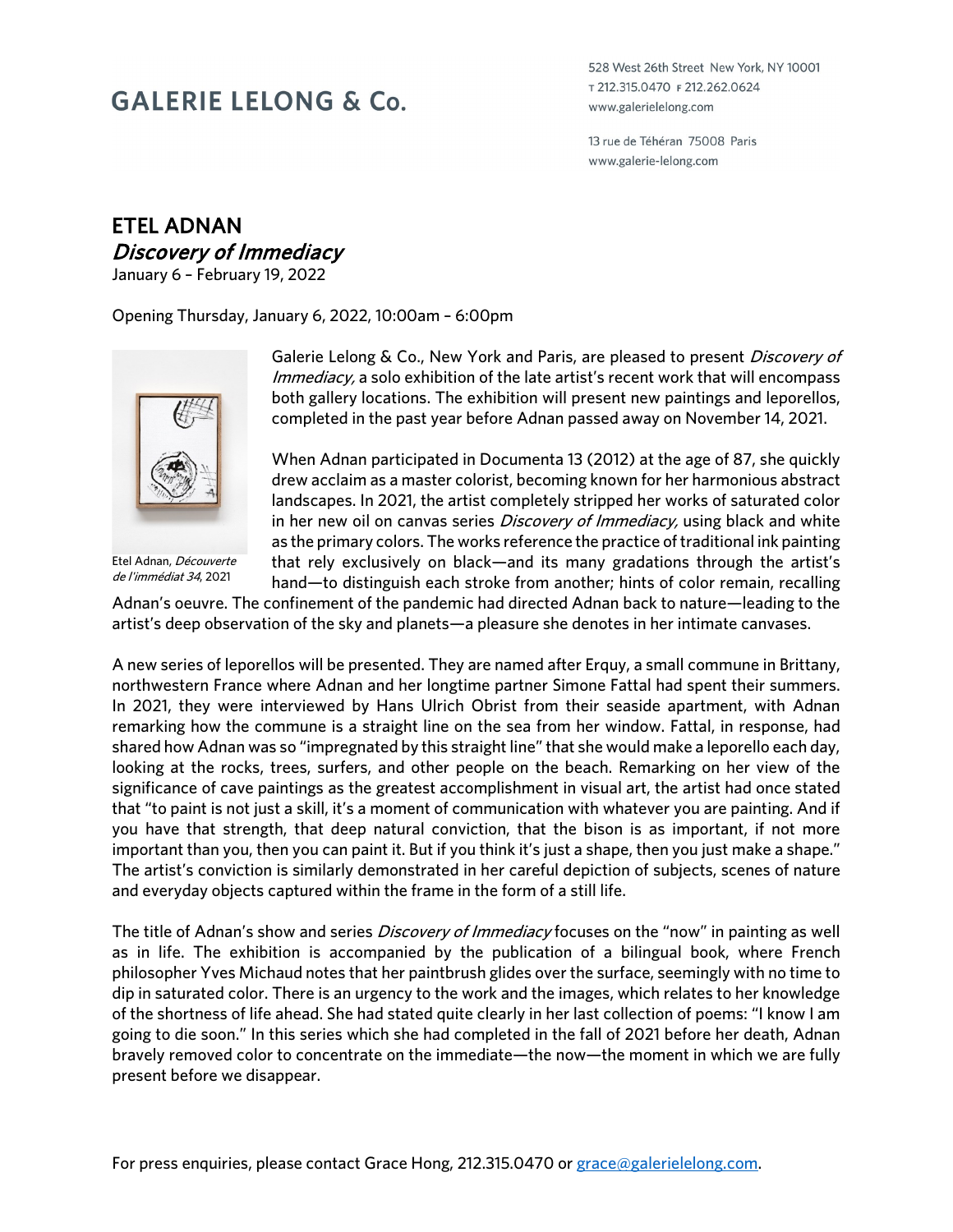## **GALERIE LELONG & Co.**

528 West 26th Street New York, NY 10001 т 212.315.0470 ғ 212.262.0624 www.galerielelong.com

13 rue de Téhéran 75008 Paris www.galerie-lelong.com

## ETEL ADNAN Discovery of Immediacy

January 6 – February 19, 2022

Opening Thursday, January 6, 2022, 10:00am – 6:00pm



Etel Adnan, Découverte de l'immédiat 34, 2021

Galerie Lelong & Co., New York and Paris, are pleased to present Discovery of Immediacy, a solo exhibition of the late artist's recent work that will encompass both gallery locations. The exhibition will present new paintings and leporellos, completed in the past year before Adnan passed away on November 14, 2021.

When Adnan participated in Documenta 13 (2012) at the age of 87, she quickly drew acclaim as a master colorist, becoming known for her harmonious abstract landscapes. In 2021, the artist completely stripped her works of saturated color in her new oil on canvas series *Discovery of Immediacy*, using black and white as the primary colors. The works reference the practice of traditional ink painting that rely exclusively on black—and its many gradations through the artist's hand—to distinguish each stroke from another; hints of color remain, recalling

Adnan's oeuvre. The confinement of the pandemic had directed Adnan back to nature—leading to the artist's deep observation of the sky and planets—a pleasure she denotes in her intimate canvases.

A new series of leporellos will be presented. They are named after Erquy, a small commune in Brittany, northwestern France where Adnan and her longtime partner Simone Fattal had spent their summers. In 2021, they were interviewed by Hans Ulrich Obrist from their seaside apartment, with Adnan remarking how the commune is a straight line on the sea from her window. Fattal, in response, had shared how Adnan was so "impregnated by this straight line" that she would make a leporello each day, looking at the rocks, trees, surfers, and other people on the beach. Remarking on her view of the significance of cave paintings as the greatest accomplishment in visual art, the artist had once stated that "to paint is not just a skill, it's a moment of communication with whatever you are painting. And if you have that strength, that deep natural conviction, that the bison is as important, if not more important than you, then you can paint it. But if you think it's just a shape, then you just make a shape." The artist's conviction is similarly demonstrated in her careful depiction of subjects, scenes of nature and everyday objects captured within the frame in the form of a still life.

The title of Adnan's show and series *Discovery of Immediacy* focuses on the "now" in painting as well as in life. The exhibition is accompanied by the publication of a bilingual book, where French philosopher Yves Michaud notes that her paintbrush glides over the surface, seemingly with no time to dip in saturated color. There is an urgency to the work and the images, which relates to her knowledge of the shortness of life ahead. She had stated quite clearly in her last collection of poems: "I know I am going to die soon." In this series which she had completed in the fall of 2021 before her death, Adnan bravely removed color to concentrate on the immediate—the now—the moment in which we are fully present before we disappear.